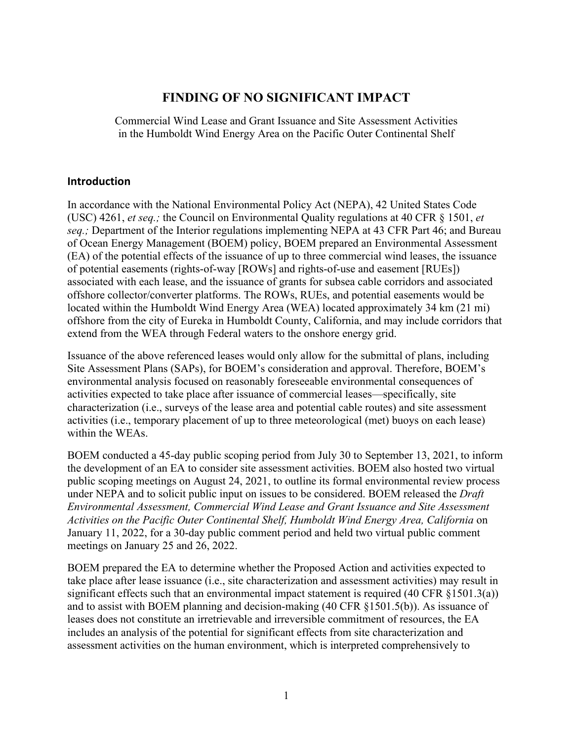# **FINDING OF NO SIGNIFICANT IMPACT**

Commercial Wind Lease and Grant Issuance and Site Assessment Activities in the Humboldt Wind Energy Area on the Pacific Outer Continental Shelf

#### **Introduction**

In accordance with the National Environmental Policy Act (NEPA), 42 United States Code (USC) 4261, *et seq.;* the Council on Environmental Quality regulations at 40 CFR § 1501, *et seq.;* Department of the Interior regulations implementing NEPA at 43 CFR Part 46; and Bureau of Ocean Energy Management (BOEM) policy, BOEM prepared an Environmental Assessment (EA) of the potential effects of the issuance of up to three commercial wind leases, the issuance of potential easements (rights-of-way [ROWs] and rights-of-use and easement [RUEs]) associated with each lease, and the issuance of grants for subsea cable corridors and associated offshore collector/converter platforms. The ROWs, RUEs, and potential easements would be located within the Humboldt Wind Energy Area (WEA) located approximately 34 km (21 mi) offshore from the city of Eureka in Humboldt County, California, and may include corridors that extend from the WEA through Federal waters to the onshore energy grid.

Issuance of the above referenced leases would only allow for the submittal of plans, including Site Assessment Plans (SAPs), for BOEM's consideration and approval. Therefore, BOEM's environmental analysis focused on reasonably foreseeable environmental consequences of activities expected to take place after issuance of commercial leases—specifically, site characterization (i.e., surveys of the lease area and potential cable routes) and site assessment activities (i.e., temporary placement of up to three meteorological (met) buoys on each lease) within the WEAs.

BOEM conducted a 45-day public scoping period from July 30 to September 13, 2021, to inform the development of an EA to consider site assessment activities. BOEM also hosted two virtual public scoping meetings on August 24, 2021, to outline its formal environmental review process under NEPA and to solicit public input on issues to be considered. BOEM released the *Draft Environmental Assessment, Commercial Wind Lease and Grant Issuance and Site Assessment Activities on the Pacific Outer Continental Shelf, Humboldt Wind Energy Area, California* on January 11, 2022, for a 30-day public comment period and held two virtual public comment meetings on January 25 and 26, 2022.

BOEM prepared the EA to determine whether the Proposed Action and activities expected to take place after lease issuance (i.e., site characterization and assessment activities) may result in significant effects such that an environmental impact statement is required (40 CFR §1501.3(a)) and to assist with BOEM planning and decision-making (40 CFR §1501.5(b)). As issuance of leases does not constitute an irretrievable and irreversible commitment of resources, the EA includes an analysis of the potential for significant effects from site characterization and assessment activities on the human environment, which is interpreted comprehensively to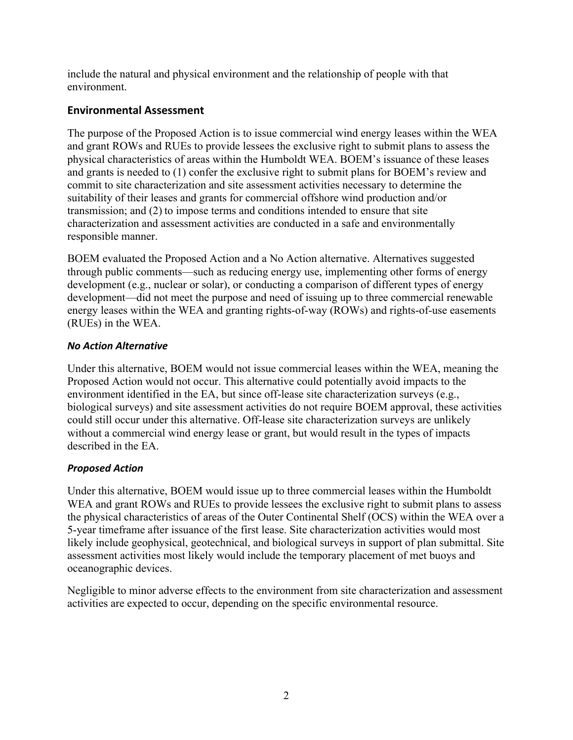include the natural and physical environment and the relationship of people with that environment.

## **Environmental Assessment**

The purpose of the Proposed Action is to issue commercial wind energy leases within the WEA and grant ROWs and RUEs to provide lessees the exclusive right to submit plans to assess the physical characteristics of areas within the Humboldt WEA. BOEM's issuance of these leases and grants is needed to (1) confer the exclusive right to submit plans for BOEM's review and commit to site characterization and site assessment activities necessary to determine the suitability of their leases and grants for commercial offshore wind production and/or transmission; and (2) to impose terms and conditions intended to ensure that site characterization and assessment activities are conducted in a safe and environmentally responsible manner.

BOEM evaluated the Proposed Action and a No Action alternative. Alternatives suggested through public comments—such as reducing energy use, implementing other forms of energy development (e.g., nuclear or solar), or conducting a comparison of different types of energy development—did not meet the purpose and need of issuing up to three commercial renewable energy leases within the WEA and granting rights-of-way (ROWs) and rights-of-use easements (RUEs) in the WEA.

## *No Action Alternative*

Under this alternative, BOEM would not issue commercial leases within the WEA, meaning the Proposed Action would not occur. This alternative could potentially avoid impacts to the environment identified in the EA, but since off-lease site characterization surveys (e.g., biological surveys) and site assessment activities do not require BOEM approval, these activities could still occur under this alternative. Off-lease site characterization surveys are unlikely without a commercial wind energy lease or grant, but would result in the types of impacts described in the EA.

## *Proposed Action*

Under this alternative, BOEM would issue up to three commercial leases within the Humboldt WEA and grant ROWs and RUEs to provide lessees the exclusive right to submit plans to assess the physical characteristics of areas of the Outer Continental Shelf (OCS) within the WEA over a 5-year timeframe after issuance of the first lease. Site characterization activities would most likely include geophysical, geotechnical, and biological surveys in support of plan submittal. Site assessment activities most likely would include the temporary placement of met buoys and oceanographic devices.

Negligible to minor adverse effects to the environment from site characterization and assessment activities are expected to occur, depending on the specific environmental resource.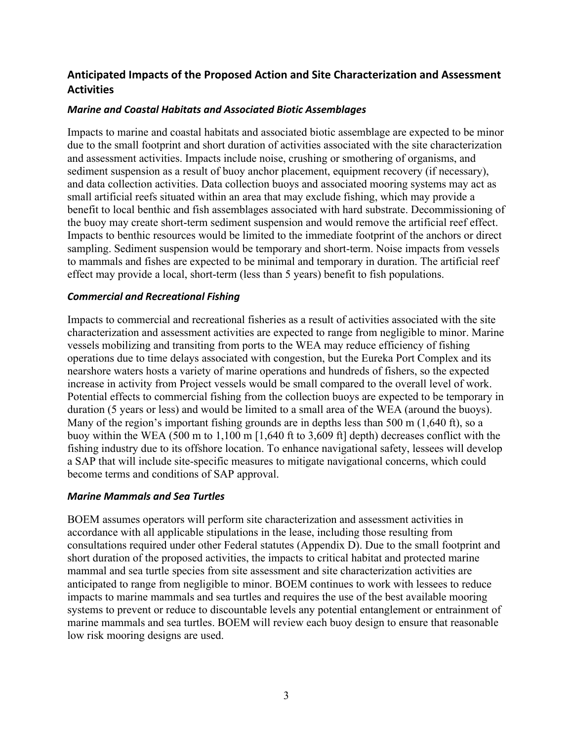# **Anticipated Impacts of the Proposed Action and Site Characterization and Assessment Activities**

### *Marine and Coastal Habitats and Associated Biotic Assemblages*

Impacts to marine and coastal habitats and associated biotic assemblage are expected to be minor due to the small footprint and short duration of activities associated with the site characterization and assessment activities. Impacts include noise, crushing or smothering of organisms, and sediment suspension as a result of buoy anchor placement, equipment recovery (if necessary), and data collection activities. Data collection buoys and associated mooring systems may act as small artificial reefs situated within an area that may exclude fishing, which may provide a benefit to local benthic and fish assemblages associated with hard substrate. Decommissioning of the buoy may create short-term sediment suspension and would remove the artificial reef effect. Impacts to benthic resources would be limited to the immediate footprint of the anchors or direct sampling. Sediment suspension would be temporary and short-term. Noise impacts from vessels to mammals and fishes are expected to be minimal and temporary in duration. The artificial reef effect may provide a local, short-term (less than 5 years) benefit to fish populations.

#### *Commercial and Recreational Fishing*

Impacts to commercial and recreational fisheries as a result of activities associated with the site characterization and assessment activities are expected to range from negligible to minor. Marine vessels mobilizing and transiting from ports to the WEA may reduce efficiency of fishing operations due to time delays associated with congestion, but the Eureka Port Complex and its nearshore waters hosts a variety of marine operations and hundreds of fishers, so the expected increase in activity from Project vessels would be small compared to the overall level of work. Potential effects to commercial fishing from the collection buoys are expected to be temporary in duration (5 years or less) and would be limited to a small area of the WEA (around the buoys). Many of the region's important fishing grounds are in depths less than 500 m (1,640 ft), so a buoy within the WEA (500 m to 1,100 m [1,640 ft to 3,609 ft] depth) decreases conflict with the fishing industry due to its offshore location. To enhance navigational safety, lessees will develop a SAP that will include site-specific measures to mitigate navigational concerns, which could become terms and conditions of SAP approval.

#### *Marine Mammals and Sea Turtles*

BOEM assumes operators will perform site characterization and assessment activities in accordance with all applicable stipulations in the lease, including those resulting from consultations required under other Federal statutes (Appendix D). Due to the small footprint and short duration of the proposed activities, the impacts to critical habitat and protected marine mammal and sea turtle species from site assessment and site characterization activities are anticipated to range from negligible to minor. BOEM continues to work with lessees to reduce impacts to marine mammals and sea turtles and requires the use of the best available mooring systems to prevent or reduce to discountable levels any potential entanglement or entrainment of marine mammals and sea turtles. BOEM will review each buoy design to ensure that reasonable low risk mooring designs are used.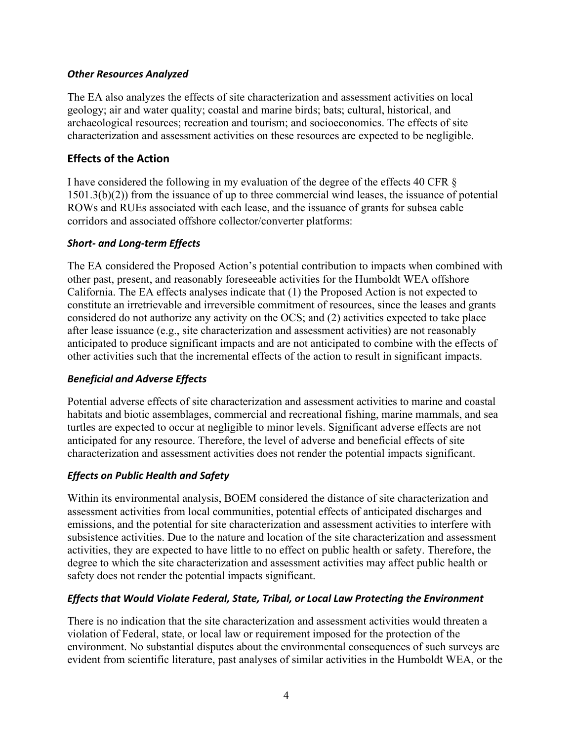#### *Other Resources Analyzed*

The EA also analyzes the effects of site characterization and assessment activities on local geology; air and water quality; coastal and marine birds; bats; cultural, historical, and archaeological resources; recreation and tourism; and socioeconomics. The effects of site characterization and assessment activities on these resources are expected to be negligible.

## **Effects of the Action**

I have considered the following in my evaluation of the degree of the effects 40 CFR § 1501.3(b)(2)) from the issuance of up to three commercial wind leases, the issuance of potential ROWs and RUEs associated with each lease, and the issuance of grants for subsea cable corridors and associated offshore collector/converter platforms:

## *Short- and Long-term Effects*

The EA considered the Proposed Action's potential contribution to impacts when combined with other past, present, and reasonably foreseeable activities for the Humboldt WEA offshore California. The EA effects analyses indicate that (1) the Proposed Action is not expected to constitute an irretrievable and irreversible commitment of resources, since the leases and grants considered do not authorize any activity on the OCS; and (2) activities expected to take place after lease issuance (e.g., site characterization and assessment activities) are not reasonably anticipated to produce significant impacts and are not anticipated to combine with the effects of other activities such that the incremental effects of the action to result in significant impacts.

## *Beneficial and Adverse Effects*

Potential adverse effects of site characterization and assessment activities to marine and coastal habitats and biotic assemblages, commercial and recreational fishing, marine mammals, and sea turtles are expected to occur at negligible to minor levels. Significant adverse effects are not anticipated for any resource. Therefore, the level of adverse and beneficial effects of site characterization and assessment activities does not render the potential impacts significant.

## *Effects on Public Health and Safety*

Within its environmental analysis, BOEM considered the distance of site characterization and assessment activities from local communities, potential effects of anticipated discharges and emissions, and the potential for site characterization and assessment activities to interfere with subsistence activities. Due to the nature and location of the site characterization and assessment activities, they are expected to have little to no effect on public health or safety. Therefore, the degree to which the site characterization and assessment activities may affect public health or safety does not render the potential impacts significant.

## *Effects that Would Violate Federal, State, Tribal, or Local Law Protecting the Environment*

There is no indication that the site characterization and assessment activities would threaten a violation of Federal, state, or local law or requirement imposed for the protection of the environment. No substantial disputes about the environmental consequences of such surveys are evident from scientific literature, past analyses of similar activities in the Humboldt WEA, or the